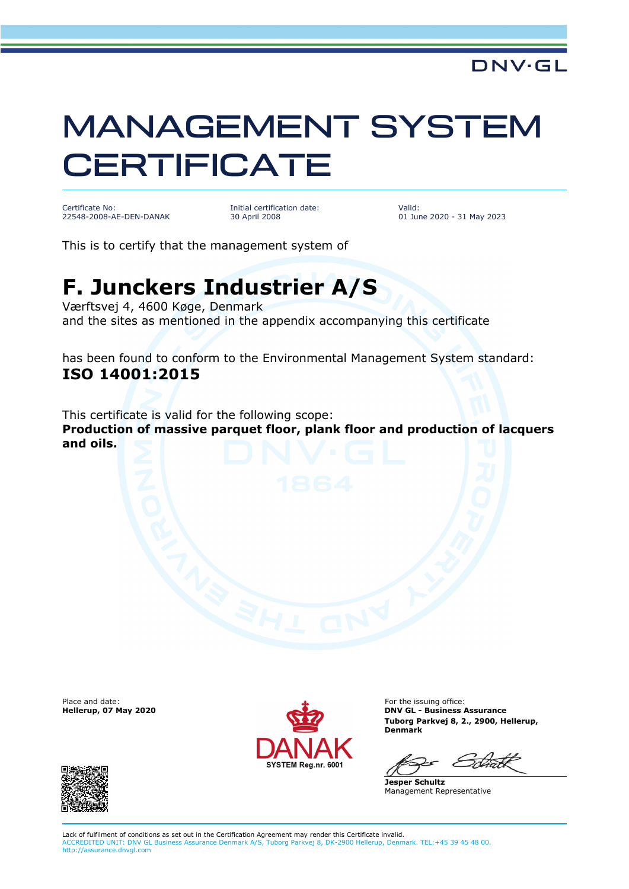## MANAGEMENT SYSTEM **CERTIFICATE**

Certificate No: 22548-2008-AE-DEN-DANAK Initial certification date: 30 April 2008

Valid: 01 June 2020 - 31 May 2023

This is to certify that the management system of

## **F. Junckers Industrier A/S**

Værftsvej 4, 4600 Køge, Denmark and the sites as mentioned in the appendix accompanying this certificate

has been found to conform to the Environmental Management System standard: **ISO 14001:2015**

This certificate is valid for the following scope: **Production of massive parquet floor, plank floor and production of lacquers and oils.**

Place and date:<br>Hellerup, 07 May 2020



For the issuing office: **DNV GL - Business Assurance Tuborg Parkvej 8, 2., 2900, Hellerup, Denmark**

**Jesper Schultz** Management Representative



Lack of fulfilment of conditions as set out in the Certification Agreement may render this Certificate invalid. ACCREDITED UNIT: DNV GL Business Assurance Denmark A/S, Tuborg Parkvej 8, DK-2900 Hellerup, Denmark. TEL:+45 39 45 48 00. http://assurance.dnvgl.com